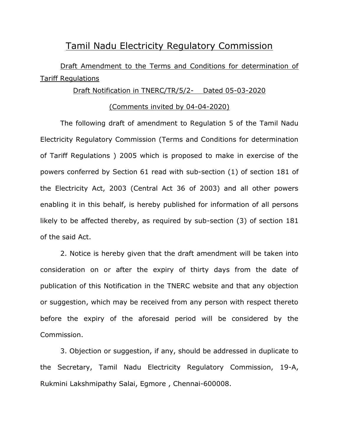## Tamil Nadu Electricity Regulatory Commission

# Draft Amendment to the Terms and Conditions for determination of Tariff Regulations

#### Draft Notification in TNERC/TR/5/2- Dated 05-03-2020

#### (Comments invited by 04-04-2020)

The following draft of amendment to Regulation 5 of the Tamil Nadu Electricity Regulatory Commission (Terms and Conditions for determination of Tariff Regulations ) 2005 which is proposed to make in exercise of the powers conferred by Section 61 read with sub-section (1) of section 181 of the Electricity Act, 2003 (Central Act 36 of 2003) and all other powers enabling it in this behalf, is hereby published for information of all persons likely to be affected thereby, as required by sub-section (3) of section 181 of the said Act.

2. Notice is hereby given that the draft amendment will be taken into consideration on or after the expiry of thirty days from the date of publication of this Notification in the TNERC website and that any objection or suggestion, which may be received from any person with respect thereto before the expiry of the aforesaid period will be considered by the Commission.

3. Objection or suggestion, if any, should be addressed in duplicate to the Secretary, Tamil Nadu Electricity Regulatory Commission, 19-A, Rukmini Lakshmipathy Salai, Egmore , Chennai-600008.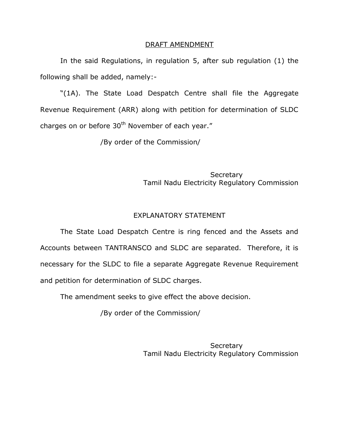#### DRAFT AMENDMENT

In the said Regulations, in regulation 5, after sub regulation (1) the following shall be added, namely:-

"(1A). The State Load Despatch Centre shall file the Aggregate Revenue Requirement (ARR) along with petition for determination of SLDC charges on or before  $30<sup>th</sup>$  November of each year."

/By order of the Commission/

**Secretary** Tamil Nadu Electricity Regulatory Commission

#### EXPLANATORY STATEMENT

The State Load Despatch Centre is ring fenced and the Assets and Accounts between TANTRANSCO and SLDC are separated. Therefore, it is necessary for the SLDC to file a separate Aggregate Revenue Requirement and petition for determination of SLDC charges.

The amendment seeks to give effect the above decision.

/By order of the Commission/

**Secretary** Tamil Nadu Electricity Regulatory Commission